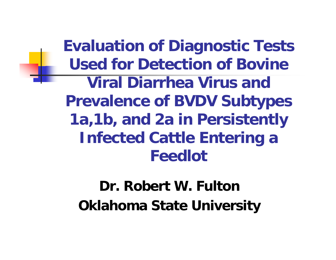**Evaluation of Diagnostic Tests Used for Detection of Bovine Viral Diarrhea Virus and Prevalence of BVDV Subtypes 1a,1b, and 2a in Persistently Infected Cattle Entering a Feedlot**

### **Dr. Robert W. FultonOklahoma State University**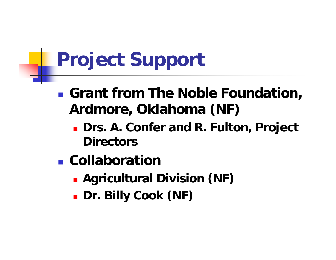# **Project Support**

- **Grant from The Noble Foundation, Ardmore, Oklahoma (NF)**
	- **Drs. A. Confer and R. Fulton, Project Directors**
- **E** Collaboration
	- **Agricultural Division (NF)**
	- **Dr. Billy Cook (NF)**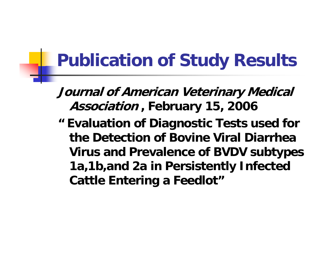### **Publication of Study Results**

**Journal of American Veterinary Medical Association , February 15, 2006**

**" Evaluation of Diagnostic Tests used for the Detection of Bovine Viral Diarrhea Virus and Prevalence of BVDV subtypes 1a,1b,and 2a in Persistently Infected Cattle Entering a Feedlot"**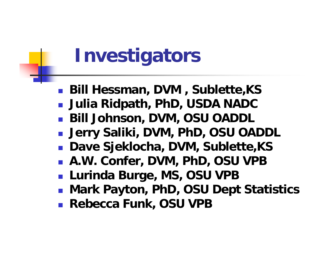# **Investigators**

- **Bill Hessman, DVM , Sublette,KS**
- **Julia Ridpath, PhD, USDA NADC**
- **Bill Johnson, DVM, OSU OADDL**
- **Jerry Saliki, DVM, PhD, OSU OADDL**
- **Dave Sjeklocha, DVM, Sublette,KS**
- **A.W. Confer, DVM, PhD, OSU VPB**
- **Lurinda Burge, MS, OSU VPB**
- **Mark Payton, PhD, OSU Dept Statistics**
- **Rebecca Funk, OSU VPB**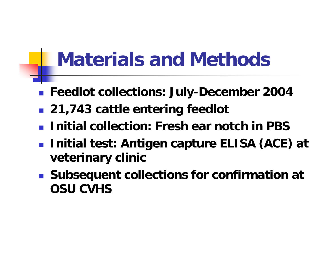### **Materials and Methods**

- **Feedlot collections: July-December 2004**
- **21,743 cattle entering feedlot**
- **Initial collection: Fresh ear notch in PBS**
- **Initial test: Antigen capture ELISA (ACE) at veterinary clinic**
- **Subsequent collections for confirmation at OSU CVHS**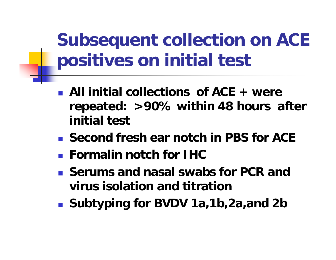**Subsequent collection on ACE positives on initial test**

- **All initial collections of ACE + were repeated: >90% within 48 hours after initial test**
- **Second fresh ear notch in PBS for ACE**
- **Formalin notch for IHC**
- **Serums and nasal swabs for PCR and virus isolation and titration**
- **Subtyping for BVDV 1a,1b,2a,and 2b**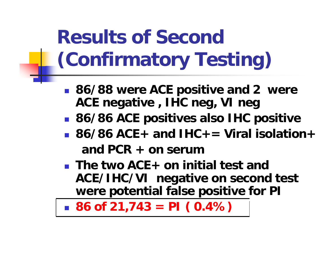# **Results of Second (Confirmatory Testing)**

- **86/88 were ACE positive and 2 were ACE negative , IHC neg, VI neg**
- **86/86 ACE positives also IHC positive**
- **86/86 ACE+ and IHC+= Viral isolation+and PCR + on serum**
- **The two ACE+ on initial test and ACE/IHC/VI negative on second test were potential false positive for PI**

**86 of 21,743 = PI ( 0.4%)**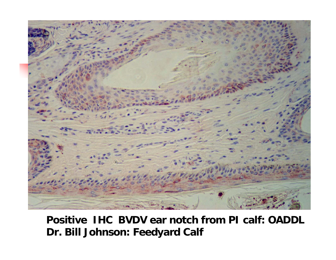

#### **Positive IHC BVDV ear notch from PI calf: OADDL Dr. Bill Johnson: Feedyard Calf**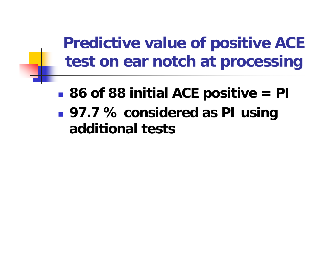**Predictive value of positive ACE test on ear notch at processing**

- **Service Service 86 of 88 initial ACE positive = PI**
- **97.7 % considered as PI using additional tests**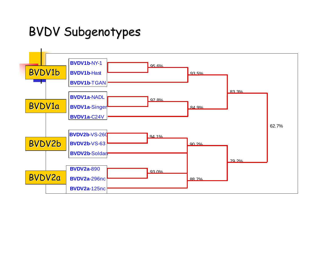#### BVDV Subgenotypes

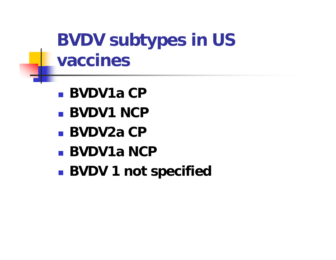### **BVDV subtypes in US vaccines**

- **BVDV1a CP**
- **BVDV1 NCP**
- **BVDV2a CP**
- **BVDV1a NCP**
- **BVDV 1 not specified**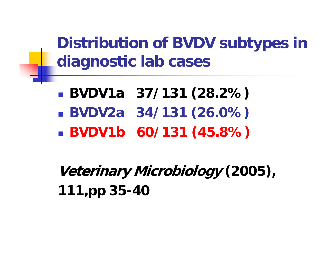**Distribution of BVDV subtypes in diagnostic lab cases**

- **BVDV1a 37/131 (28.2%) BVDV2a 34/131 (26.0%)**
- **BVDV1b 60/131 (45.8%)**

**Veterinary Microbiology (2005), 111,pp 35-40**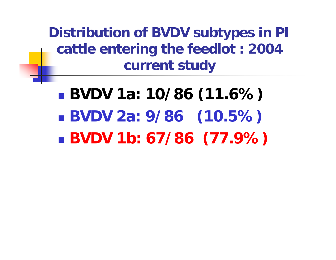**Distribution of BVDV subtypes in PI cattle entering the feedlot : 2004 current study**

 **BVDV 1a: 10/86 (11.6%)**  $\mathbb{R}^2$  **BVDV 2a: 9/86 (10.5%)**  $\mathbb{R}^2$ **BVDV 1b: 67/86 (77.9%)**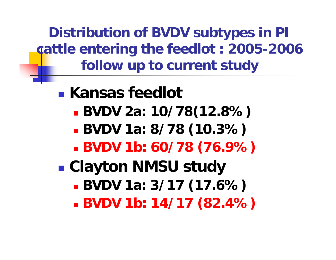**Distribution of BVDV subtypes in PI cattle entering the feedlot : 2005-2006 follow up to current study**

**Kansas feedlot BVDV 2a: 10/78(12.8%) BVDV 1a: 8/78 (10.3%) BVDV 1b: 60/78 (76.9%) Clayton NMSU study BVDV 1a: 3/17 (17.6%) BVDV 1b: 14/17 (82.4%)**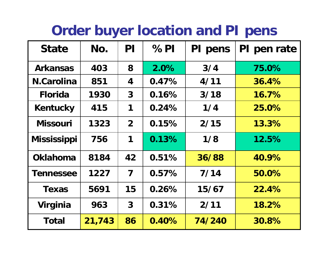### **Order buyer location and PI pens**

| <b>State</b>       | No.    | PI                      | %PI   | PI pens | PI pen rate |
|--------------------|--------|-------------------------|-------|---------|-------------|
| <b>Arkansas</b>    | 403    | 8                       | 2.0%  | 3/4     | 75.0%       |
| <b>N.Carolina</b>  | 851    | 4                       | 0.47% | 4/11    | 36.4%       |
| <b>Florida</b>     | 1930   | $\mathbf{3}$            | 0.16% | 3/18    | 16.7%       |
| <b>Kentucky</b>    | 415    | 1                       | 0.24% | 1/4     | 25.0%       |
| <b>Missouri</b>    | 1323   | $\overline{2}$          | 0.15% | 2/15    | 13.3%       |
| <b>Mississippi</b> | 756    | 1                       | 0.13% | 1/8     | 12.5%       |
| <b>Oklahoma</b>    | 8184   | 42                      | 0.51% | 36/88   | 40.9%       |
| <b>Tennessee</b>   | 1227   | $\overline{\mathbf{7}}$ | 0.57% | 7/14    | 50.0%       |
| <b>Texas</b>       | 5691   | 15                      | 0.26% | 15/67   | 22.4%       |
| Virginia           | 963    | $\mathbf{3}$            | 0.31% | 2/11    | 18.2%       |
| Total              | 21,743 | 86                      | 0.40% | 74/240  | 30.8%       |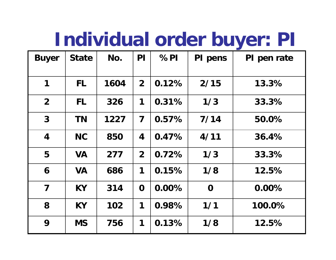### **Individual order buyer: PI**

| <b>Buyer</b>            | <b>State</b> | No.  | PI                      | %PI   | PI pens     | PI pen rate |
|-------------------------|--------------|------|-------------------------|-------|-------------|-------------|
|                         |              |      |                         |       |             |             |
| 1                       | FL.          | 1604 | 2 <sup>1</sup>          | 0.12% | 2/15        | 13.3%       |
| $\overline{2}$          | <b>FL</b>    | 326  | 1                       | 0.31% | 1/3         | 33.3%       |
| $\mathbf{3}$            | <b>TN</b>    | 1227 | $\overline{\mathbf{7}}$ | 0.57% | 7/14        | 50.0%       |
| $\overline{\mathbf{4}}$ | <b>NC</b>    | 850  | 4                       | 0.47% | 4/11        | 36.4%       |
| 5                       | <b>VA</b>    | 277  | 2 <sup>1</sup>          | 0.72% | 1/3         | 33.3%       |
| 6                       | <b>VA</b>    | 686  | 1                       | 0.15% | 1/8         | 12.5%       |
| $\overline{\mathbf{7}}$ | <b>KY</b>    | 314  | $\mathbf 0$             | 0.00% | $\mathbf 0$ | $0.00\%$    |
| 8                       | <b>KY</b>    | 102  | 1                       | 0.98% | 1/1         | 100.0%      |
| 9                       | <b>MS</b>    | 756  | 1                       | 0.13% | 1/8         | 12.5%       |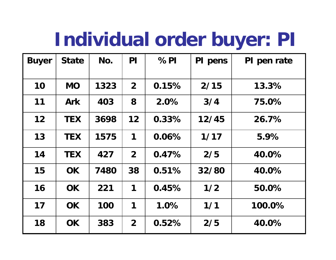### **Individual order buyer: PI**

| <b>Buyer</b> | <b>State</b> | No.  | PI             | %PI      | PI pens | PI pen rate |
|--------------|--------------|------|----------------|----------|---------|-------------|
| 10           | <b>MO</b>    | 1323 | 2 <sup>1</sup> | 0.15%    | 2/15    | 13.3%       |
| 11           | <b>Ark</b>   | 403  | 8              | 2.0%     | 3/4     | 75.0%       |
| 12           | <b>TEX</b>   | 3698 | 12             | $0.33\%$ | 12/45   | 26.7%       |
| 13           | <b>TEX</b>   | 1575 | 1              | 0.06%    | 1/17    | 5.9%        |
| 14           | <b>TEX</b>   | 427  | 2 <sup>1</sup> | 0.47%    | 2/5     | 40.0%       |
| 15           | OK.          | 7480 | 38             | 0.51%    | 32/80   | 40.0%       |
| 16           | OK.          | 221  | 1              | 0.45%    | 1/2     | 50.0%       |
| 17           | OK.          | 100  | 1              | 1.0%     | 1/1     | 100.0%      |
| 18           | <b>OK</b>    | 383  | 2 <sup>1</sup> | 0.52%    | 2/5     | 40.0%       |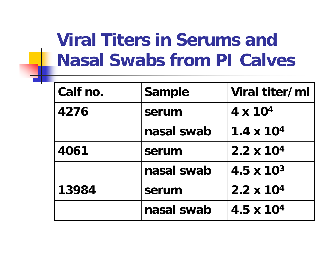### **Viral Titers in Serums and Nasal Swabs from PI Calves**

| Calf no. | <b>Sample</b> | Viral titer/ml      |
|----------|---------------|---------------------|
| 4276     | serum         | $4 \times 10^{4}$   |
|          | nasal swab    | $1.4 \times 10^{4}$ |
| 4061     | serum         | $2.2 \times 10^{4}$ |
|          | nasal swab    | $4.5 \times 10^{3}$ |
| 13984    | serum         | $2.2 \times 10^{4}$ |
|          | nasal swab    | $4.5 \times 10^{4}$ |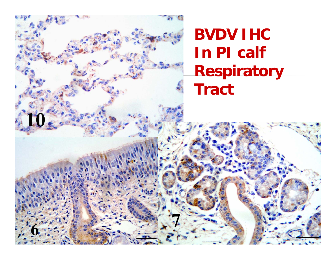10

**BVDV IHC In PI calf Respiratory Tract**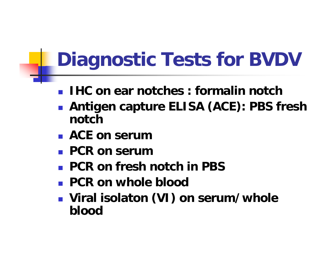# **Diagnostic Tests for BVDV**

- $\mathbb{R}^n$ **IHC on ear notches : formalin notch**
- **Antigen capture ELISA (ACE): PBS fresh notch**
- **ACE on serum**
- **PCR on serum**
- $\mathbb{R}^n$ **PCR on fresh notch in PBS**
- **PCR on whole blood**
- **Viral isolaton (VI) on serum/whole blood**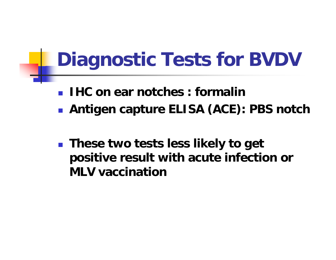## **Diagnostic Tests for BVDV**

- $\mathbb{R}^n$ **IHC on ear notches : formalin**
- **Antigen capture ELISA (ACE): PBS notch**
- **These two tests less likely to get positive result with acute infection or MLV vaccination**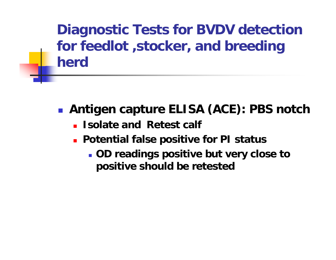**Diagnostic Tests for BVDV detection for feedlot ,stocker, and breeding herd**

- **Antigen capture ELISA (ACE): PBS notch**
	- **Isolate and Retest calf**
	- **Potential false positive for PI status**
		- **OD readings positive but very close to positive should be retested**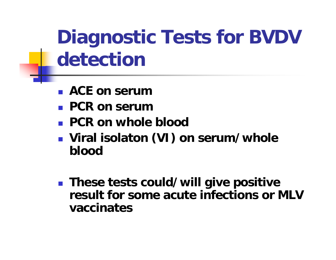**Diagnostic Tests for BVDV detection**

- $\mathbb{R}^n$ **ACE on serum**
- **PCR on serum**
- **PCR on whole blood**
- **Viral isolaton (VI) on serum/whole blood**
- **These tests could/will give positive result for some acute infections or MLV vaccinates**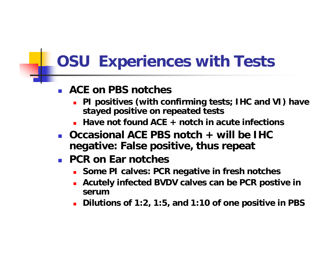### **OSU Experiences with Tests**

#### Ξ **ACE on PBS notches**

- **PI positives (with confirming tests; IHC and VI) have stayed positive on repeated tests**
- **Have not found ACE + notch in acute infections**
- **Occasional ACE PBS notch + will be IHC negative: False positive, thus repeat**
- **PCR on Ear notches**
	- **Some PI calves: PCR negative in fresh notches**
	- П **Acutely infected BVDV calves can be PCR postive in serum**
	- П **Dilutions of 1:2, 1:5, and 1:10 of one positive in PBS**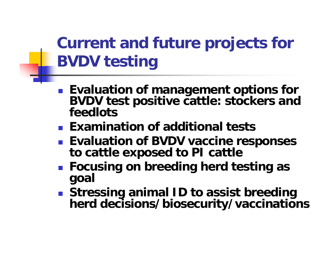### **Current and future projects for BVDV testing**

- **Evaluation of management options for BVDV test positive cattle: stockers and feedlots**
- **Examination of additional tests**
- **Evaluation of BVDV vaccine responses to cattle exposed to PI cattle**
- **Focusing on breeding herd testing as goal**
- Stressing animal ID to assist breeding herd decisions/biosecurity/vaccinations